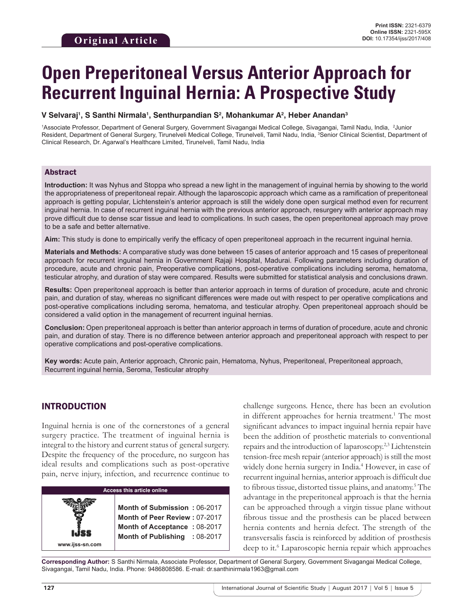# **Open Preperitoneal Versus Anterior Approach for Recurrent Inguinal Hernia: A Prospective Study**

#### **V Selvaraj1 , S Santhi Nirmala1 , Senthurpandian S2 , Mohankumar A2 , Heber Anandan3**

1Associate Professor, Department of General Surgery, Government Sivagangai Medical College, Sivagangai, Tamil Nadu, India, 2Junior Resident, Department of General Surgery, Tirunelveli Medical College, Tirunelveli, Tamil Nadu, India, <sup>3</sup>Senior Clinical Scientist, Department of Clinical Research, Dr. Agarwal's Healthcare Limited, Tirunelveli, Tamil Nadu, India

#### Abstract

**Introduction:** It was Nyhus and Stoppa who spread a new light in the management of inguinal hernia by showing to the world the appropriateness of preperitoneal repair. Although the laparoscopic approach which came as a ramification of preperitoneal approach is getting popular, Lichtenstein's anterior approach is still the widely done open surgical method even for recurrent inguinal hernia. In case of recurrent inguinal hernia with the previous anterior approach, resurgery with anterior approach may prove difficult due to dense scar tissue and lead to complications. In such cases, the open preperitoneal approach may prove to be a safe and better alternative.

**Aim:** This study is done to empirically verify the efficacy of open preperitoneal approach in the recurrent inguinal hernia.

**Materials and Methods:** A comparative study was done between 15 cases of anterior approach and 15 cases of preperitoneal approach for recurrent inguinal hernia in Government Rajaji Hospital, Madurai. Following parameters including duration of procedure, acute and chronic pain, Preoperative complications, post-operative complications including seroma, hematoma, testicular atrophy, and duration of stay were compared. Results were submitted for statistical analysis and conclusions drawn.

**Results:** Open preperitoneal approach is better than anterior approach in terms of duration of procedure, acute and chronic pain, and duration of stay, whereas no significant differences were made out with respect to per operative complications and post-operative complications including seroma, hematoma, and testicular atrophy. Open preperitoneal approach should be considered a valid option in the management of recurrent inguinal hernias.

**Conclusion:** Open preperitoneal approach is better than anterior approach in terms of duration of procedure, acute and chronic pain, and duration of stay. There is no difference between anterior approach and preperitoneal approach with respect to per operative complications and post-operative complications.

**Key words:** Acute pain, Anterior approach, Chronic pain, Hematoma, Nyhus, Preperitoneal, Preperitoneal approach, Recurrent inguinal hernia, Seroma, Testicular atrophy

## INTRODUCTION

**www.ijss-sn.com**

Inguinal hernia is one of the cornerstones of a general surgery practice. The treatment of inguinal hernia is integral to the history and current status of general surgery. Despite the frequency of the procedure, no surgeon has ideal results and complications such as post-operative pain, nerve injury, infection, and recurrence continue to

#### **Access this article online**

**Month of Submission :** 06-2017 **Month of Peer Review :** 07-2017 **Month of Acceptance :** 08-2017 **Month of Publishing :** 08-2017 challenge surgeons. Hence, there has been an evolution in different approaches for hernia treatment.<sup>1</sup> The most significant advances to impact inguinal hernia repair have been the addition of prosthetic materials to conventional repairs and the introduction of laparoscopy.2,3 Lichtenstein tension-free mesh repair (anterior approach) is still the most widely done hernia surgery in India.<sup>4</sup> However, in case of recurrent inguinal hernias, anterior approach is difficult due to fibrous tissue, distorted tissue plains, and anatomy.<sup>5</sup> The advantage in the preperitoneal approach is that the hernia can be approached through a virgin tissue plane without fibrous tissue and the prosthesis can be placed between hernia contents and hernia defect. The strength of the transversalis fascia is reinforced by addition of prosthesis deep to it.<sup>6</sup> Laparoscopic hernia repair which approaches

**Corresponding Author:** S Santhi Nirmala, Associate Professor, Department of General Surgery, Government Sivagangai Medical College, Sivagangai, Tamil Nadu, India. Phone: 9486808586. E-mail: dr.santhinirmala1963@gmail.com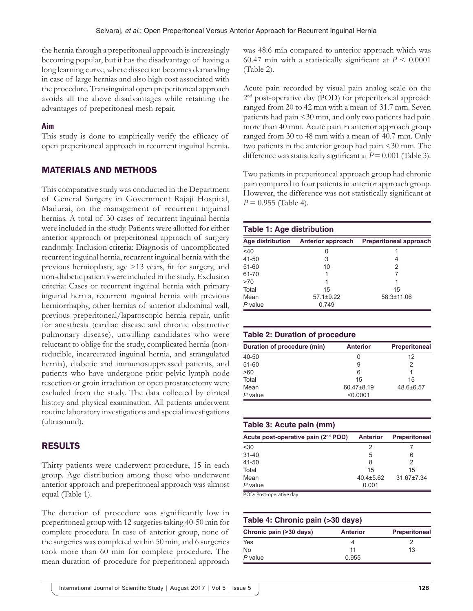the hernia through a preperitoneal approach is increasingly becoming popular, but it has the disadvantage of having a long learning curve, where dissection becomes demanding in case of large hernias and also high cost associated with the procedure. Transinguinal open preperitoneal approach avoids all the above disadvantages while retaining the advantages of preperitoneal mesh repair.

### **Aim**

This study is done to empirically verify the efficacy of open preperitoneal approach in recurrent inguinal hernia.

## MATERIALS AND METHODS

This comparative study was conducted in the Department of General Surgery in Government Rajaji Hospital, Madurai, on the management of recurrent inguinal hernias. A total of 30 cases of recurrent inguinal hernia were included in the study. Patients were allotted for either anterior approach or preperitoneal approach of surgery randomly. Inclusion criteria: Diagnosis of uncomplicated recurrent inguinal hernia, recurrent inguinal hernia with the previous hernioplasty, age >13 years, fit for surgery, and non-diabetic patients were included in the study. Exclusion criteria: Cases or recurrent inguinal hernia with primary inguinal hernia, recurrent inguinal hernia with previous herniorrhaphy, other hernias of anterior abdominal wall, previous preperitoneal/laparoscopic hernia repair, unfit for anesthesia (cardiac disease and chronic obstructive pulmonary disease), unwilling candidates who were reluctant to oblige for the study, complicated hernia (nonreducible, incarcerated inguinal hernia, and strangulated hernia), diabetic and immunosuppressed patients, and patients who have undergone prior pelvic lymph node resection or groin irradiation or open prostatectomy were excluded from the study. The data collected by clinical history and physical examination. All patients underwent routine laboratory investigations and special investigations (ultrasound).

## RESULTS

Thirty patients were underwent procedure, 15 in each group. Age distribution among those who underwent anterior approach and preperitoneal approach was almost equal (Table 1).

The duration of procedure was significantly low in preperitoneal group with 12 surgeries taking 40-50 min for complete procedure. In case of anterior group, none of the surgeries was completed within 50 min, and 6 surgeries took more than 60 min for complete procedure. The mean duration of procedure for preperitoneal approach was 48.6 min compared to anterior approach which was 60.47 min with a statistically significant at  $P < 0.0001$ (Table 2).

Acute pain recorded by visual pain analog scale on the 2<sup>nd</sup> post-operative day (POD) for preperitoneal approach ranged from 20 to 42 mm with a mean of 31.7 mm. Seven patients had pain <30 mm, and only two patients had pain more than 40 mm. Acute pain in anterior approach group ranged from 30 to 48 mm with a mean of 40.7 mm. Only two patients in the anterior group had pain <30 mm. The difference was statistically significant at  $P = 0.001$  (Table 3).

Two patients in preperitoneal approach group had chronic pain compared to four patients in anterior approach group. However, the difference was not statistically significant at  $P = 0.955$  (Table 4).

#### **Table 1: Age distribution Age distribution Anterior approach Preperitoneal approach**  $\leq 40$  0 1 41-50 3 4 51-60 10 2 61-70 1 7  $>70$  1 1 Total 15 15 Mean 57.1±9.22 58.3±11.06 *P* value 0.749

#### **Table 2: Duration of procedure**

| Duration of procedure (min) | <b>Anterior</b> | <b>Preperitoneal</b> |
|-----------------------------|-----------------|----------------------|
| $40 - 50$                   |                 | 12                   |
| $51 - 60$                   | 9               | 2                    |
| >60                         | 6               |                      |
| Total                       | 15              | 15                   |
| Mean                        | 60.47±8.19      | 48.6±6.57            |
| $P$ value                   | < 0.0001        |                      |

#### **Table 3: Acute pain (mm)**

| <b>Anterior</b> | <b>Preperitoneal</b> |
|-----------------|----------------------|
|                 |                      |
| 5               | 6                    |
| 8               |                      |
| 15              | 15                   |
| $40.4 \pm 5.62$ | 31.67±7.34           |
| 0.001           |                      |
|                 |                      |

POD: Post-operative day

| Table 4: Chronic pain (>30 days) |                 |                      |  |
|----------------------------------|-----------------|----------------------|--|
| Chronic pain (>30 days)          | <b>Anterior</b> | <b>Preperitoneal</b> |  |
| Yes                              |                 |                      |  |
| No.                              | 11              | 13                   |  |
| P value                          | 0.955           |                      |  |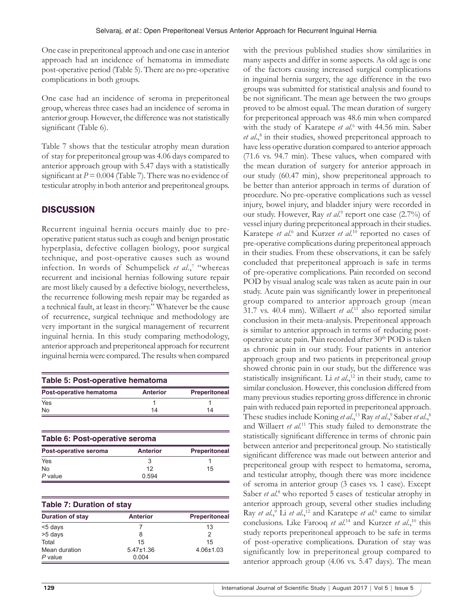One case in preperitoneal approach and one case in anterior approach had an incidence of hematoma in immediate post-operative period (Table 5). There are no pre-operative complications in both groups.

One case had an incidence of seroma in preperitoneal group, whereas three cases had an incidence of seroma in anterior group. However, the difference was not statistically significant (Table 6).

Table 7 shows that the testicular atrophy mean duration of stay for preperitoneal group was 4.06 days compared to anterior approach group with 5.47 days with a statistically significant at  $P = 0.004$  (Table 7). There was no evidence of testicular atrophy in both anterior and preperitoneal groups.

## **DISCUSSION**

Recurrent inguinal hernia occurs mainly due to preoperative patient status such as cough and benign prostatic hyperplasia, defective collagen biology, poor surgical technique, and post-operative causes such as wound infection. In words of Schumpelick *et al.*,<sup>7</sup> "whereas" recurrent and incisional hernias following suture repair are most likely caused by a defective biology, nevertheless, the recurrence following mesh repair may be regarded as a technical fault, at least in theory." Whatever be the cause of recurrence, surgical technique and methodology are very important in the surgical management of recurrent inguinal hernia. In this study comparing methodology, anterior approach and preperitoneal approach for recurrent inguinal hernia were compared. The results when compared

| Table 5: Post-operative hematoma |                 |                      |  |
|----------------------------------|-----------------|----------------------|--|
| Post-operative hematoma          | <b>Anterior</b> | <b>Preperitoneal</b> |  |
| Yes                              |                 |                      |  |
| No                               | 14              | 14                   |  |

| Table 6: Post-operative seroma |                 |                      |  |
|--------------------------------|-----------------|----------------------|--|
| Post-operative seroma          | <b>Anterior</b> | <b>Preperitoneal</b> |  |
| Yes                            | 3               |                      |  |
| No.                            | 12              | 15                   |  |
| $P$ value                      | 0.594           |                      |  |

| <b>Table 7: Duration of stay</b> |                 |                      |  |
|----------------------------------|-----------------|----------------------|--|
| <b>Duration of stay</b>          | <b>Anterior</b> | <b>Preperitoneal</b> |  |
| <5 days                          |                 | 13                   |  |
| >5 days                          | 8               | 2                    |  |
| Total                            | 15              | 15                   |  |
| Mean duration                    | $5.47 \pm 1.36$ | $4.06 \pm 1.03$      |  |
| P value                          | 0.004           |                      |  |

with the previous published studies show similarities in many aspects and differ in some aspects. As old age is one of the factors causing increased surgical complications in inguinal hernia surgery, the age difference in the two groups was submitted for statistical analysis and found to be not significant. The mean age between the two groups proved to be almost equal. The mean duration of surgery for preperitoneal approach was 48.6 min when compared with the study of Karatepe et al.<sup>6</sup> with 44.56 min. Saber et al.,<sup>8</sup> in their studies, showed preperitoneal approach to have less operative duration compared to anterior approach (71.6 vs. 94.7 min). These values, when compared with the mean duration of surgery for anterior approach in our study (60.47 min), show preperitoneal approach to be better than anterior approach in terms of duration of procedure. No pre-operative complications such as vessel injury, bowel injury, and bladder injury were recorded in our study. However, Ray *et al.*<sup>9</sup> report one case (2.7%) of vessel injury during preperitoneal approach in their studies. Karatepe *et al.*<sup>6</sup> and Kurzer *et al.*<sup>10</sup> reported no cases of pre-operative complications during preperitoneal approach in their studies. From these observations, it can be safely concluded that preperitoneal approach is safe in terms of pre-operative complications. Pain recorded on second POD by visual analog scale was taken as acute pain in our study. Acute pain was significantly lower in preperitoneal group compared to anterior approach group (mean 31.7 vs. 40.4 mm). Willaert *et al*. 11 also reported similar conclusion in their meta-analysis. Preperitoneal approach is similar to anterior approach in terms of reducing postoperative acute pain. Pain recorded after 30<sup>th</sup> POD is taken as chronic pain in our study. Four patients in anterior approach group and two patients in preperitoneal group showed chronic pain in our study, but the difference was statistically insignificant. Li *et al.*,<sup>12</sup> in their study, came to similar conclusion. However, this conclusion differed from many previous studies reporting gross difference in chronic pain with reduced pain reported in preperitoneal approach. These studies include Koning *et al.*,<sup>13</sup> Ray *et al.*,<sup>9</sup> Saber *et al.*,<sup>8</sup> and Willaert *et al*. 11 This study failed to demonstrate the statistically significant difference in terms of chronic pain between anterior and preperitoneal group. No statistically significant difference was made out between anterior and preperitoneal group with respect to hematoma, seroma, and testicular atrophy, though there was more incidence of seroma in anterior group (3 cases vs. 1 case). Except Saber *et al.*<sup>8</sup> who reported 5 cases of testicular atrophy in anterior approach group, several other studies including Ray *et al.*,<sup>9</sup> Li *et al.*,<sup>12</sup> and Karatepe *et al.*<sup>6</sup> came to similar conclusions. Like Farooq *et al.*<sup>14</sup> and Kurzer *et al.*,<sup>10</sup> this study reports preperitoneal approach to be safe in terms of post-operative complications. Duration of stay was significantly low in preperitoneal group compared to anterior approach group (4.06 vs. 5.47 days). The mean